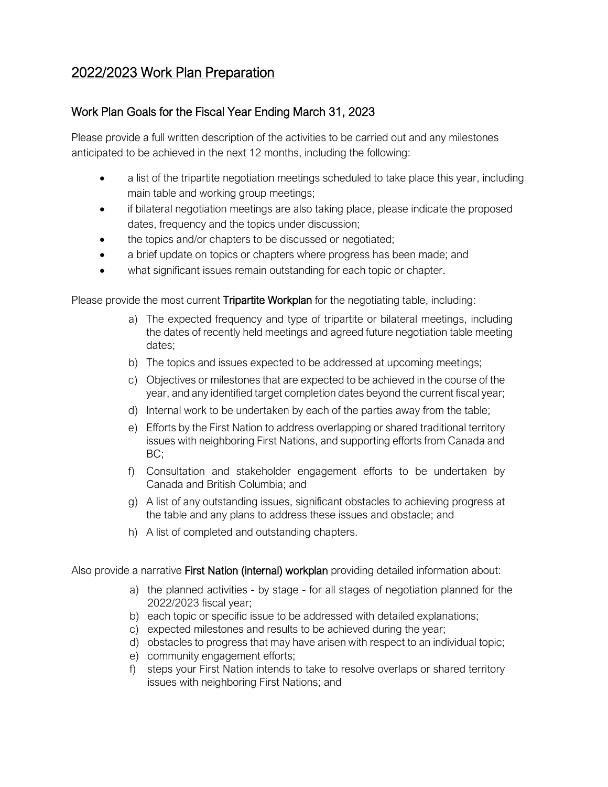## 2022/2023 Work Plan Preparation

## Work Plan Goals for the Fiscal Year Ending March 31, 2023

Please provide a full written description of the activities to be carried out and any milestones anticipated to be achieved in the next 12 months, including the following:

- a list of the tripartite negotiation meetings scheduled to take place this year, including main table and working group meetings;
- if bilateral negotiation meetings are also taking place, please indicate the proposed dates, frequency and the topics under discussion;
- the topics and/or chapters to be discussed or negotiated;
- a brief update on topics or chapters where progress has been made; and
- what significant issues remain outstanding for each topic or chapter.

Please provide the most current Tripartite Workplan for the negotiating table, including:

- a) The expected frequency and type of tripartite or bilateral meetings, including the dates of recently held meetings and agreed future negotiation table meeting dates;
- b) The topics and issues expected to be addressed at upcoming meetings;
- c) Objectives or milestones that are expected to be achieved in the course of the year, and any identified target completion dates beyond the current fiscal year;
- d) Internal work to be undertaken by each of the parties away from the table;
- e) Efforts by the First Nation to address overlapping or shared traditional territory issues with neighboring First Nations, and supporting efforts from Canada and BC;
- f) Consultation and stakeholder engagement efforts to be undertaken by Canada and British Columbia; and
- g) A list of any outstanding issues, significant obstacles to achieving progress at the table and any plans to address these issues and obstacle; and
- h) A list of completed and outstanding chapters.

Also provide a narrative First Nation (internal) workplan providing detailed information about:

- a) the planned activities by stage for all stages of negotiation planned for the 2022/2023 fiscal year;
- b) each topic or specific issue to be addressed with detailed explanations;
- c) expected milestones and results to be achieved during the year;
- d) obstacles to progress that may have arisen with respect to an individual topic;
- e) community engagement efforts;
- f) steps your First Nation intends to take to resolve overlaps or shared territory issues with neighboring First Nations; and